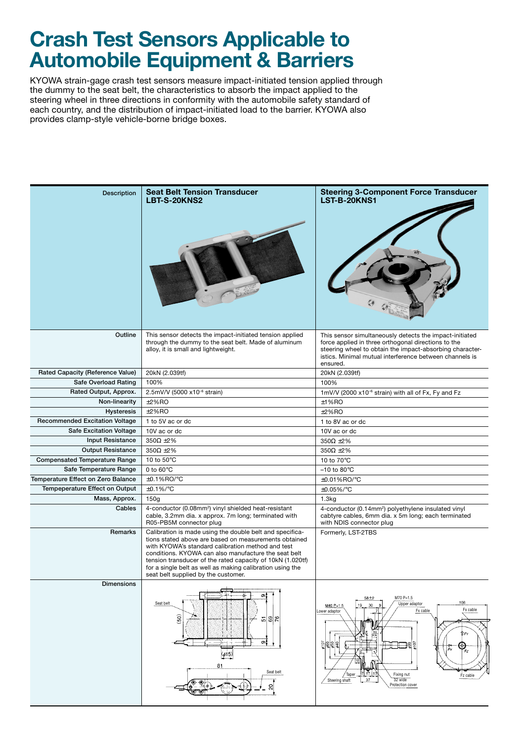## **Crash Test Sensors Applicable to Automobile Equipment & Barriers**

KYOWA strain-gage crash test sensors measure impact-initiated tension applied through the dummy to the seat belt, the characteristics to absorb the impact applied to the steering wheel in three directions in conformity with the automobile safety standard of each country, and the distribution of impact-initiated load to the barrier. KYOWA also provides clamp-style vehicle-borne bridge boxes.

| <b>Description</b>                   | <b>Seat Belt Tension Transducer</b><br><b>LBT-S-20KNS2</b>                                                                                                                                                                                                                                                                                                                                       | <b>Steering 3-Component Force Transducer</b><br>LST-B-20KNS1                                                                                                                                                                                                                          |
|--------------------------------------|--------------------------------------------------------------------------------------------------------------------------------------------------------------------------------------------------------------------------------------------------------------------------------------------------------------------------------------------------------------------------------------------------|---------------------------------------------------------------------------------------------------------------------------------------------------------------------------------------------------------------------------------------------------------------------------------------|
| Outline                              | This sensor detects the impact-initiated tension applied<br>through the dummy to the seat belt. Made of aluminum<br>alloy, it is small and lightweight.                                                                                                                                                                                                                                          | This sensor simultaneously detects the impact-initiated<br>force applied in three orthogonal directions to the<br>steering wheel to obtain the impact-absorbing character-<br>istics. Minimal mutual interference between channels is<br>ensured.                                     |
| Rated Capacity (Reference Value)     | 20kN (2.039tf)                                                                                                                                                                                                                                                                                                                                                                                   | 20kN (2.039tf)                                                                                                                                                                                                                                                                        |
| Safe Overload Rating                 | 100%                                                                                                                                                                                                                                                                                                                                                                                             | 100%                                                                                                                                                                                                                                                                                  |
| Rated Output, Approx.                | 2.5mV/V (5000 x10 <sup>-6</sup> strain)                                                                                                                                                                                                                                                                                                                                                          | 1mV/V (2000 x10 <sup>-6</sup> strain) with all of Fx, Fy and Fz                                                                                                                                                                                                                       |
| Non-linearity                        | ±2%RO                                                                                                                                                                                                                                                                                                                                                                                            | $±1%$ RO                                                                                                                                                                                                                                                                              |
| <b>Hysteresis</b>                    | ±2%RO                                                                                                                                                                                                                                                                                                                                                                                            | $±2%$ RO                                                                                                                                                                                                                                                                              |
| Recommended Excitation Voltage       | 1 to 5V ac or dc                                                                                                                                                                                                                                                                                                                                                                                 | 1 to 8V ac or dc                                                                                                                                                                                                                                                                      |
| <b>Safe Excitation Voltage</b>       | 10V ac or dc                                                                                                                                                                                                                                                                                                                                                                                     | 10V ac or dc                                                                                                                                                                                                                                                                          |
| <b>Input Resistance</b>              | $350\Omega \pm 2\%$                                                                                                                                                                                                                                                                                                                                                                              | $350\Omega \pm 2\%$                                                                                                                                                                                                                                                                   |
| <b>Output Resistance</b>             | $350\Omega \pm 2\%$                                                                                                                                                                                                                                                                                                                                                                              | $350\Omega \pm 2\%$                                                                                                                                                                                                                                                                   |
| <b>Compensated Temperature Range</b> | 10 to $50^{\circ}$ C                                                                                                                                                                                                                                                                                                                                                                             | 10 to 70°C                                                                                                                                                                                                                                                                            |
| Safe Temperature Range               | 0 to $60^{\circ}$ C                                                                                                                                                                                                                                                                                                                                                                              | $-10$ to 80 $\degree$ C                                                                                                                                                                                                                                                               |
| Temperature Effect on Zero Balance   | $\pm 0.1\%$ RO/ $\degree$ C                                                                                                                                                                                                                                                                                                                                                                      | ±0.01%RO/°C                                                                                                                                                                                                                                                                           |
| Tempeperature Effect on Output       | $\pm 0.1\%$ /°C                                                                                                                                                                                                                                                                                                                                                                                  | ±0.05%/°C                                                                                                                                                                                                                                                                             |
| Mass, Approx.                        | 150g                                                                                                                                                                                                                                                                                                                                                                                             | 1.3kg                                                                                                                                                                                                                                                                                 |
| Cables                               | 4-conductor (0.08mm <sup>2</sup> ) vinyl shielded heat-resistant<br>cable, 3.2mm dia. x approx. 7m long; terminated with<br>R05-PB5M connector plug                                                                                                                                                                                                                                              | 4-conductor (0.14mm <sup>2</sup> ) polyethylene insulated vinyl<br>cabtyre cables, 6mm dia. x 5m long; each terminated<br>with NDIS connector plug                                                                                                                                    |
| Remarks                              | Calibration is made using the double belt and specifica-<br>tions stated above are based on measurements obtained<br>with KYOWA's standard calibration method and test<br>conditions. KYOWA can also manufacture the seat belt<br>tension transducer of the rated capacity of 10kN (1.020tf)<br>for a single belt as well as making calibration using the<br>seat belt supplied by the customer. | Formerly, LST-2TBS                                                                                                                                                                                                                                                                    |
| <b>Dimensions</b>                    | O)<br>Seat belt<br>(50)<br>8<br>۴<br>5<br>$\sigma_{\tilde{1}}$<br>⊤ל<br>$\phi$ 15)<br>81<br>Seat belt<br>ຂ                                                                                                                                                                                                                                                                                       | M70 P=1.5<br>58±2<br>108<br>Upper adaptor<br>19<br>M40 P=1.5<br>30 <sup>°</sup><br>Fx cable<br>Fx cable<br>Lower adaptor<br>ſ۴۴۷<br><u>୍ଟିକ୍ଟ୍ରକ୍ଟ୍</u><br>∃ছ<br>⊞<br>٠<br>Fx<br>Fz<br>7 17<br>Fixing nut<br>Taper<br>Fz cable<br>37<br>32 wide<br>Steering shaft<br>Protection cover |